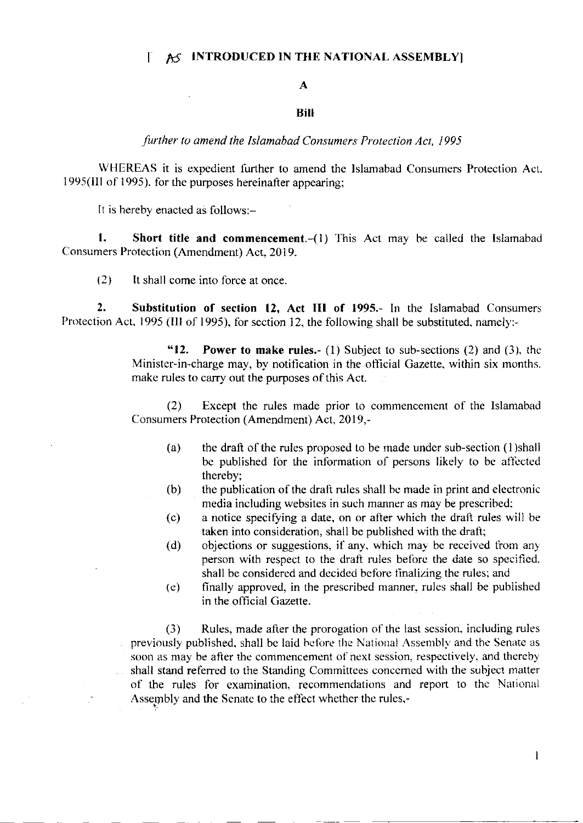## $[$  AS INTRODUCED IN THE NATIONAL ASSEMBLY]

## A

## Bill

further to amend the Islamabad Consumers Protection Act, 1995

WHEREAS it is expedient further to amend the Islamabad Consumers Protection Act. 1995(III of 1995). for the purposes hereinafter appearing;

It is hereby enacted as follows:-

1. Short title and commencement.- $(1)$  This Act may be called the Islamabad Consumers Protection (Amendment) Act, 2019.

(2) lt shall come into force at once

2. Substitution of section 12, Act III of 1995.- In the Islamabad Consumers Protection Act, 1995 (III of 1995), for section 12, the following shall be substituted, namely:-

> "12. Power to make rules.- (1) Subject to sub-sections  $(2)$  and  $(3)$ , the Minister-in-charge may, by notification in the official Gazette, within six months. make rules to carry out the purposes of this Act.

> (2) Except the rules made prior to commencement of the Islamabad Consumers Protection (Amendment) Act, 2019,-

- (a) the draft of the rules proposed to be made under sub-section (l)shall be published fbr the infbrmation of persons likely to be aflected thereby;
- (b) the publication of the draft rules shall be made in print and electronic media including websites in such marner as may be prescribed:
- (c) a notice specifying a date, on or after which the draft rules will be taken into consideration, shall be published with the draft;
- (d) objections or suggestions, if any, which may be received from any person with respect to the drati rules belorc the date so specified. shall be considered and decided bcfore tinalizing the rules; and
- (e) finally approved, in the prescribed manner. rules shall be published in the official Gazette.

(3) Rules, made after the prorogation of the last session, including rules previously published, shall be laid before the National Assembly and the Senate as soon as may be after the commencement of next session, respectively, and thereby shall stand referred to the Standing Committees concerned with the subject matter of the rules for examination, recommendations and report to the National Assembly and the Senate to the effect whether the rules,-

 $\mathbf{I}$